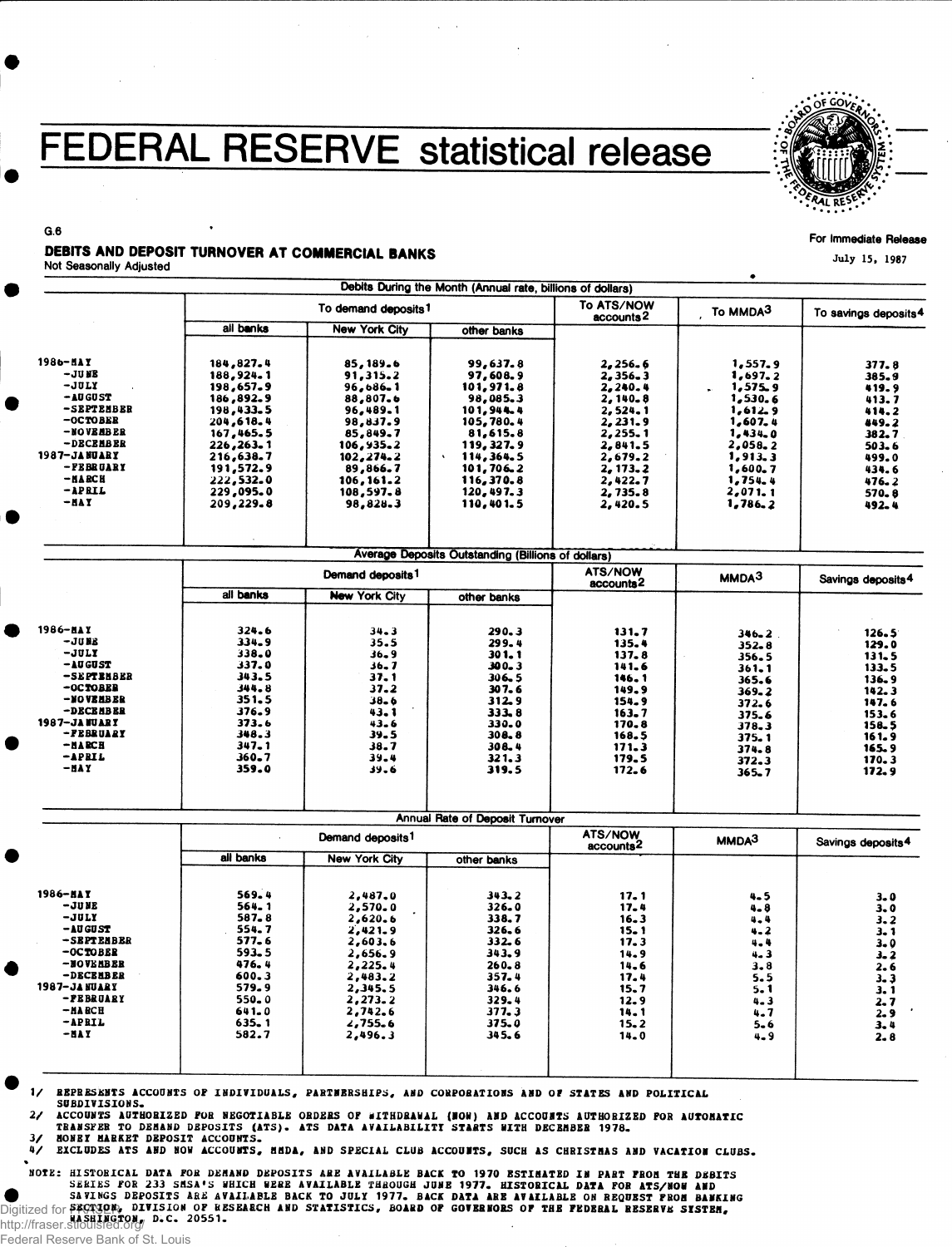# FEDERAL RESERVE statistical release



#### For Immediate Release

July 15, 1987

DEBITS AND DEPOSIT TURNOVER AT COMMERCIAL BANKS

Not Seasonally Adjusted

G.6

|               |                    | To demand deposits <sup>1</sup> |                                                    | To ATS/NOW<br>To MMDA3<br>To savings deposits <sup>4</sup><br>accounts <sup>2</sup> |                   |                               |
|---------------|--------------------|---------------------------------|----------------------------------------------------|-------------------------------------------------------------------------------------|-------------------|-------------------------------|
|               | all banks          | <b>New York City</b>            | other banks                                        |                                                                                     |                   |                               |
|               |                    |                                 |                                                    |                                                                                     |                   |                               |
| 1986-HAY      | 184,827.4          | 85, 189.6                       | 99,637.8                                           | 2,256.6                                                                             | 1,557.9           | 377.8                         |
| -JU NB        | 188,924.1          | 91,315.2                        | 97,608.9                                           | 2,356.3                                                                             | 1,697.2           | 385.9                         |
| -JULY         | 198,657.9          | 96,686.1                        | 101,971.8                                          | 2,240.4                                                                             | 1,575.9           | 419.9                         |
| $-10$ GUST    | 186,892.9          | 88,807.6                        | 98,085.3                                           | 2,140.8                                                                             | 1,530.6           | 413.7                         |
| -SEPTEMBER    | 198,433.5          | 96,489.1                        | 101, 944.4                                         | 2,524.1                                                                             | 1,612.9           | 414.2                         |
| $-0CTOBER$    | 204,618.4          | 98,837.9                        | 105,780.4                                          | 2,231.9                                                                             | 1,607,4           | 449.2                         |
| -NOVEMBER     | 167,465.5          | 85,849.7                        | 81,615.8                                           | 2,255.1                                                                             | 1,434.0           | 382.7                         |
| -DECEMBER     | 226,263.1          | 106,935.2                       | 119, 327. 9                                        | 2,841.5                                                                             | 2,058.2           | 503.6                         |
| 1987-JANUARY  | 216,638.7          | 102, 274.2                      | 114,364.5                                          | 2,679.2                                                                             | 1,913.3           | 499.0                         |
| -FEBRUARY     | 191,572.9          | 89,866.7                        | 101,706.2                                          | 2, 173.2                                                                            | 1,600.7           | 434.6                         |
| $-MACH$       | 222,532.0          | 106, 161.2                      | 116,370.8                                          | 2,422.7                                                                             | 1,754.4           | 476.2                         |
| $-$ APRIL     | 229,095.0          | 108,597.8                       | 120,497.3                                          | 2,735.8                                                                             | 2,071.1           | 570.8                         |
| -NAY          | 209,229.8          | 98,828.3                        | 110,401.5                                          | 2,420.5                                                                             | 1,786.2           |                               |
|               |                    |                                 |                                                    |                                                                                     |                   | 492.4                         |
|               |                    |                                 |                                                    |                                                                                     |                   |                               |
|               |                    |                                 | Average Deposits Outstanding (Billions of dollars) |                                                                                     |                   |                               |
|               |                    | Demand deposits <sup>1</sup>    |                                                    | ATS/NOW<br>accounts <sup>2</sup>                                                    | MMDA <sup>3</sup> | Savings deposits <sup>4</sup> |
|               | all banks          | <b>New York City</b>            | other banks                                        |                                                                                     |                   |                               |
|               |                    |                                 |                                                    |                                                                                     |                   |                               |
| 1986-HAY      | 324.6              | $34 - 3$                        | 290.3                                              | 131.7                                                                               | $346 - 2$         | 126.5                         |
| -jues         | 334.9              | 35.5                            | 299.4                                              | 135.4                                                                               | $352 - 8$         | 129.0                         |
| -JULY         | 338.0              | 36.9                            | 301.1                                              | 137.8                                                                               | 356.5             | 131.5                         |
| -AUGUST       | 337.0              | 36,7                            | 300.3                                              | 141.6                                                                               |                   | 133.5                         |
| -SEPTBHBER    | 343.5              | 37.1                            | 306.5                                              | 146.1                                                                               | $361 - 1$         |                               |
| -OCTOBER      | 344.8              | 37.2                            | 307.6                                              | 149.9                                                                               | 365.6             | 136.9                         |
| -NOVEMBER     | 351.5              | $38 - 6$                        | 312.9                                              | 154.9                                                                               | $369 - 2$         | 142.3                         |
| -DECEMBER     | 376.9              | 43. 1                           | 333.8                                              |                                                                                     | 372.6             | 147.6                         |
| 1987–JA HUART | 373.6              | $43 - 6$                        | 330.0                                              | $163 - 7$                                                                           | 375.6             | 153.6                         |
| -FEBRUARY     | 348.3              | 39.5                            | 308.8                                              | 170.8                                                                               | 378,3             | 158.5                         |
| $-MARCH$      | $347 - 1$          | 38.7                            | 308.4                                              | 168.5                                                                               | 375.1             | 161.9                         |
| -APRIL        | $360 - 7$          | 39.4                            |                                                    | 171.3                                                                               | 374.8             | 165.9                         |
| - NA Y        | 359.0              | 39.6                            | 321.3<br>319.5                                     | 179.5<br>172.6                                                                      | 372.3<br>365.7    | 170.3<br>172.9                |
|               |                    |                                 |                                                    |                                                                                     |                   |                               |
|               |                    |                                 | Annual Rate of Deposit Turnover                    | ATS/NOW                                                                             |                   |                               |
|               |                    | Demand deposits <sup>1</sup>    |                                                    | accounts <sup>2</sup>                                                               | MMDA <sup>3</sup> | Savings deposits <sup>4</sup> |
|               | all banks          | <b>New York City</b>            | other banks                                        |                                                                                     |                   |                               |
| 1986-NAY      | 569.4              | 2,487.0                         | 343.2                                              | 17.1                                                                                | 4.5               | $3 - 0$                       |
| – JU NE       | 564.1              | 2,570.0                         | 326.0                                              | 17.4                                                                                | 4.8               | 3.0                           |
| -JULY         | 587.8              | 2,620.6                         | 338.7                                              | 16.3                                                                                | 4.4               |                               |
| -AU GU ST     | 554.7              | 2,421.9                         | 326.6                                              | $15 - 1$                                                                            | $4 - 2$           | 3.2                           |
| -SEPTEMBER    | $577 - 6$          | 2,603.6                         | 332.6                                              | 17.3                                                                                | 4.4               | 3.1                           |
| -OCTOBER      | 593.5              | 2,656.9                         | 343.9                                              | 14.9                                                                                | $4 - 3$           | $3 - 0$                       |
| -BOVEMBER     | 476.4              | 2,225.4                         | $260 - 8$                                          | 14.6                                                                                | 3.8               | 3. 2                          |
| -DECEMBER     | 600.3              | 2,483.2                         | 357.4                                              |                                                                                     |                   | 2.6                           |
| 1987-JANUARY  | 579.9              |                                 | 346.6                                              | 17.4                                                                                | 5.5               | $3 - 3$                       |
| -FEBRUARY     | $550 - 0$          | 2,345.5                         |                                                    | 15.7                                                                                | $5 - 1$           | 3.1                           |
| $-MA BCH$     | 641.0              | 2,273.2                         | 329.4<br>377.3                                     | 12.9                                                                                | $4 - 3$           | 2.7                           |
| -APRIL        |                    | 2,742.6                         |                                                    | 14.1                                                                                | 4.7               | $2 - 9$                       |
| -NA Y         | $635 - 1$<br>582.7 | 2,755.6                         | 375.0                                              | 15.2                                                                                | $5 - 6$           | 3.4                           |
|               |                    | 2,496.3                         | 345.6                                              | 14.0                                                                                | 4.9               | 2.8                           |

V REPRESENTS ACCOUNTS OF INDIVIDUALS , PARTNERSHIPS, AND CORPORATIONS AND OF STATES AND POLITICAL

SUBDIVISIONS.

 $2/$  $\overline{\mathbf{3}}$ ACCOUNTS AUTHORIZED FOR NEGOTIABLE ORDERS OF WITHDRAWAL (NOW) AND ACCOUNTS AUTHORIZED FOR AUTOMATIC<br>TRANSFER TO DEMAND DEPOSITS (ATS). ATS DATA AVAILABILITI STARTS WITH DECEMBER 1978.

MONEY MARKET DEPOSIT ACCOUNTS.

4/ EXCLUDES ATS AND NOW ACCOUNTS, MUDA, AND SPECIAL CLUB ACCOUNTS, SUCH AS CHRISTMAS AND VACATION CLUBS.

NOTE: HISTORICAL DATA FOR DEMAND DEPOSITS ARE AVAILABLE BACK TO 1970 ESTIMATED IN PART FROM THE DEBITS SERIES FOR 233 SMSA'S WHICH WERE AVAILABLE THROUGH JUME 1977. HISTORICAL DATA FOR ATS/NOW AND<br>Digitized for SEVING DEPOSITS ARE AVAILABLE BACK TO JULY 1977. BACK DATA ARE AVAILABLE ON REQUEST FROM BANKING<br>http://frager.wik

http://fraser.stlouisfed.org/

Federal Reserve Bank of St. Louis